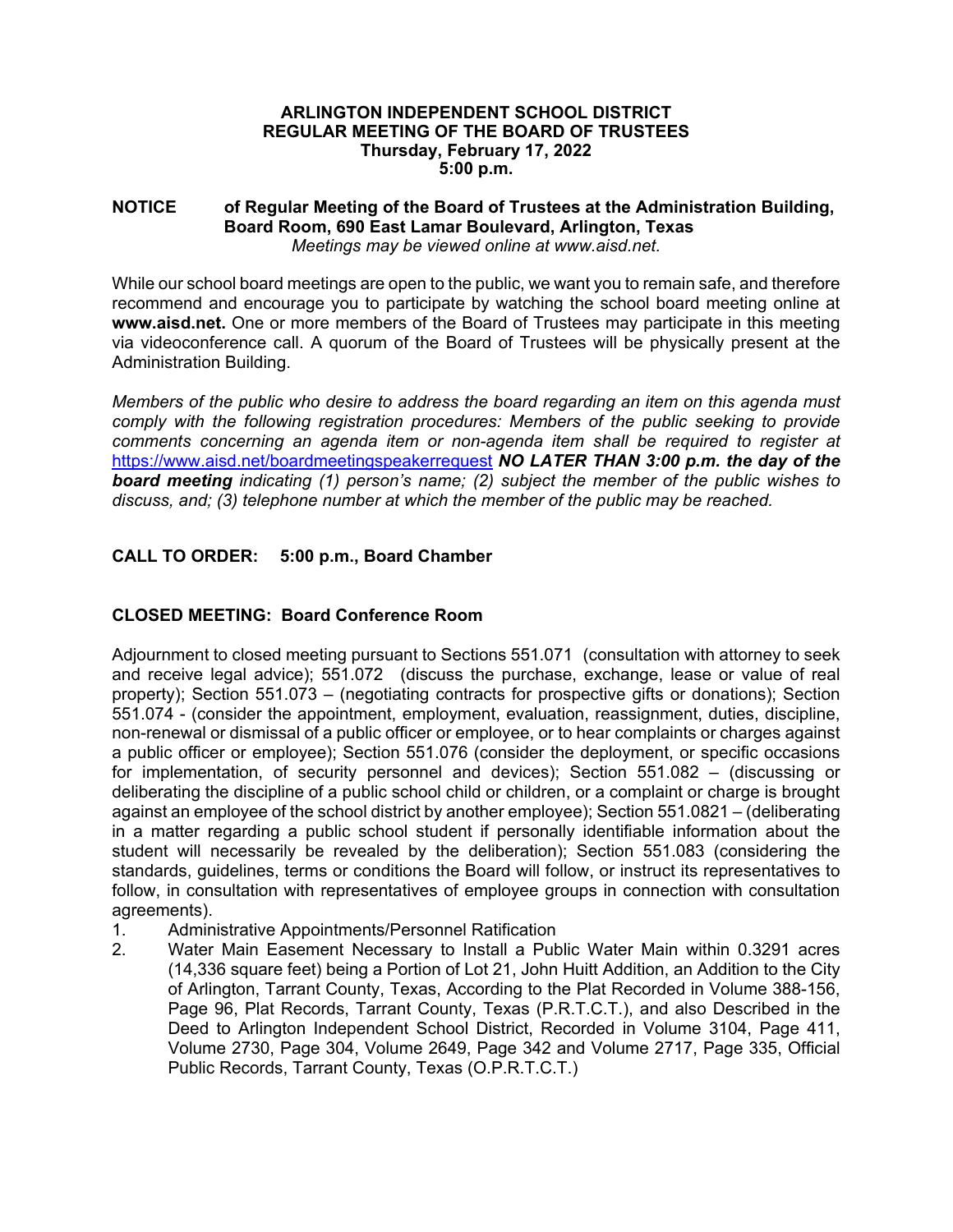### **ARLINGTON INDEPENDENT SCHOOL DISTRICT REGULAR MEETING OF THE BOARD OF TRUSTEES Thursday, February 17, 2022 5:00 p.m.**

#### **NOTICE of Regular Meeting of the Board of Trustees at the Administration Building, Board Room, 690 East Lamar Boulevard, Arlington, Texas**  *Meetings may be viewed online at www.aisd.net.*

While our school board meetings are open to the public, we want you to remain safe, and therefore recommend and encourage you to participate by watching the school board meeting online at **www.aisd.net.** One or more members of the Board of Trustees may participate in this meeting via videoconference call. A quorum of the Board of Trustees will be physically present at the Administration Building.

*Members of the public who desire to address the board regarding an item on this agenda must comply with the following registration procedures: Members of the public seeking to provide comments concerning an agenda item or non-agenda item shall be required to register at*  https://www.aisd.net/boardmeetingspeakerrequest *NO LATER THAN 3:00 p.m. the day of the board meeting indicating (1) person's name; (2) subject the member of the public wishes to discuss, and; (3) telephone number at which the member of the public may be reached.* 

# **CALL TO ORDER: 5:00 p.m., Board Chamber**

# **CLOSED MEETING: Board Conference Room**

Adjournment to closed meeting pursuant to Sections 551.071 (consultation with attorney to seek and receive legal advice); 551.072 (discuss the purchase, exchange, lease or value of real property); Section 551.073 – (negotiating contracts for prospective gifts or donations); Section 551.074 - (consider the appointment, employment, evaluation, reassignment, duties, discipline, non-renewal or dismissal of a public officer or employee, or to hear complaints or charges against a public officer or employee); Section 551.076 (consider the deployment, or specific occasions for implementation, of security personnel and devices); Section 551.082 – (discussing or deliberating the discipline of a public school child or children, or a complaint or charge is brought against an employee of the school district by another employee); Section 551.0821 – (deliberating in a matter regarding a public school student if personally identifiable information about the student will necessarily be revealed by the deliberation); Section 551.083 (considering the standards, guidelines, terms or conditions the Board will follow, or instruct its representatives to follow, in consultation with representatives of employee groups in connection with consultation agreements).

- 1. Administrative Appointments/Personnel Ratification
- 2. Water Main Easement Necessary to Install a Public Water Main within 0.3291 acres (14,336 square feet) being a Portion of Lot 21, John Huitt Addition, an Addition to the City of Arlington, Tarrant County, Texas, According to the Plat Recorded in Volume 388-156, Page 96, Plat Records, Tarrant County, Texas (P.R.T.C.T.), and also Described in the Deed to Arlington Independent School District, Recorded in Volume 3104, Page 411, Volume 2730, Page 304, Volume 2649, Page 342 and Volume 2717, Page 335, Official Public Records, Tarrant County, Texas (O.P.R.T.C.T.)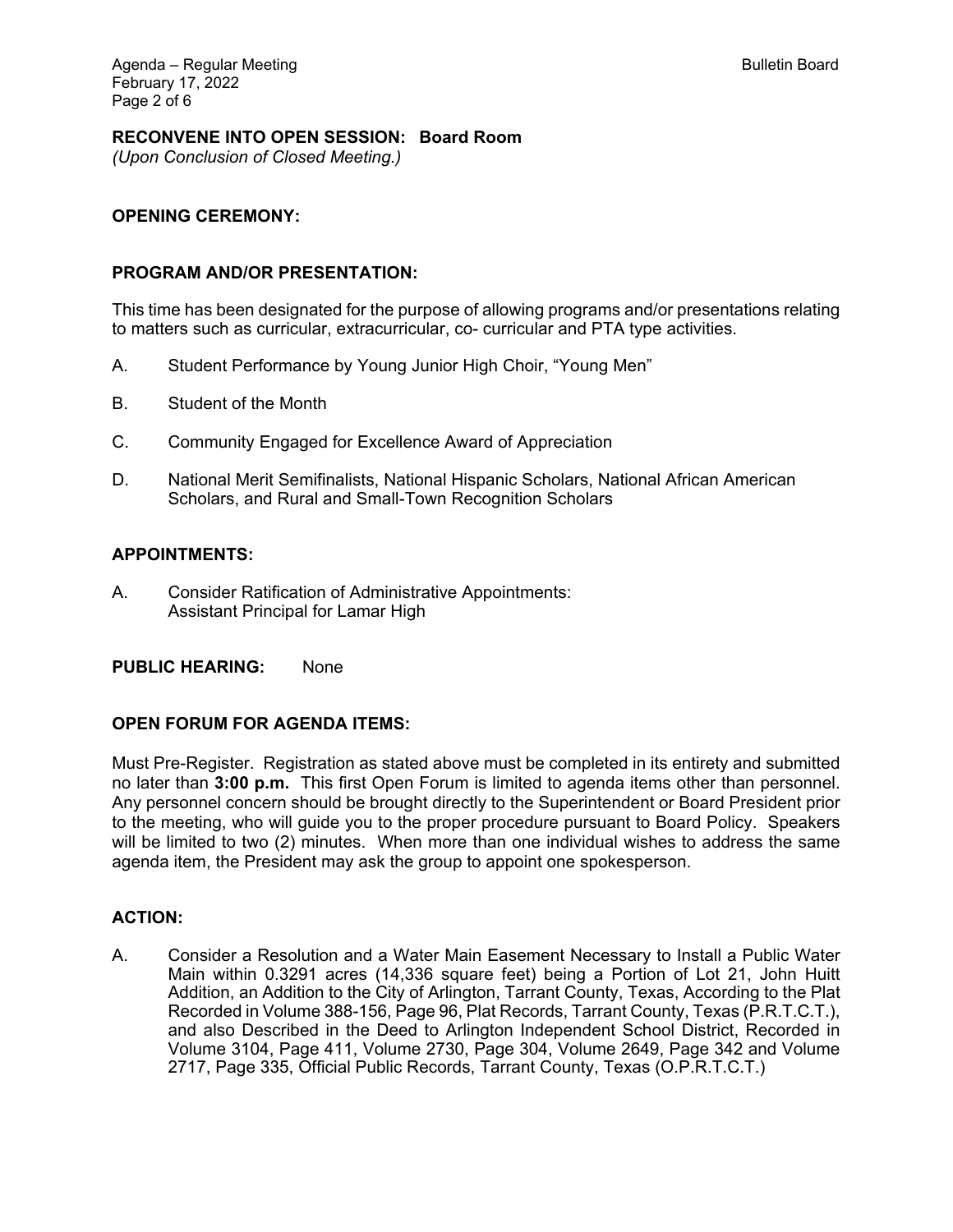## **RECONVENE INTO OPEN SESSION: Board Room**

*(Upon Conclusion of Closed Meeting.)* 

### **OPENING CEREMONY:**

#### **PROGRAM AND/OR PRESENTATION:**

This time has been designated for the purpose of allowing programs and/or presentations relating to matters such as curricular, extracurricular, co- curricular and PTA type activities.

- A. Student Performance by Young Junior High Choir, "Young Men"
- B. Student of the Month
- C. Community Engaged for Excellence Award of Appreciation
- D. National Merit Semifinalists, National Hispanic Scholars, National African American Scholars, and Rural and Small-Town Recognition Scholars

#### **APPOINTMENTS:**

A. Consider Ratification of Administrative Appointments: Assistant Principal for Lamar High

### **PUBLIC HEARING:** None

#### **OPEN FORUM FOR AGENDA ITEMS:**

Must Pre-Register. Registration as stated above must be completed in its entirety and submitted no later than **3:00 p.m.** This first Open Forum is limited to agenda items other than personnel. Any personnel concern should be brought directly to the Superintendent or Board President prior to the meeting, who will guide you to the proper procedure pursuant to Board Policy. Speakers will be limited to two (2) minutes. When more than one individual wishes to address the same agenda item, the President may ask the group to appoint one spokesperson.

### **ACTION:**

A. Consider a Resolution and a Water Main Easement Necessary to Install a Public Water Main within 0.3291 acres (14,336 square feet) being a Portion of Lot 21, John Huitt Addition, an Addition to the City of Arlington, Tarrant County, Texas, According to the Plat Recorded in Volume 388-156, Page 96, Plat Records, Tarrant County, Texas (P.R.T.C.T.), and also Described in the Deed to Arlington Independent School District, Recorded in Volume 3104, Page 411, Volume 2730, Page 304, Volume 2649, Page 342 and Volume 2717, Page 335, Official Public Records, Tarrant County, Texas (O.P.R.T.C.T.)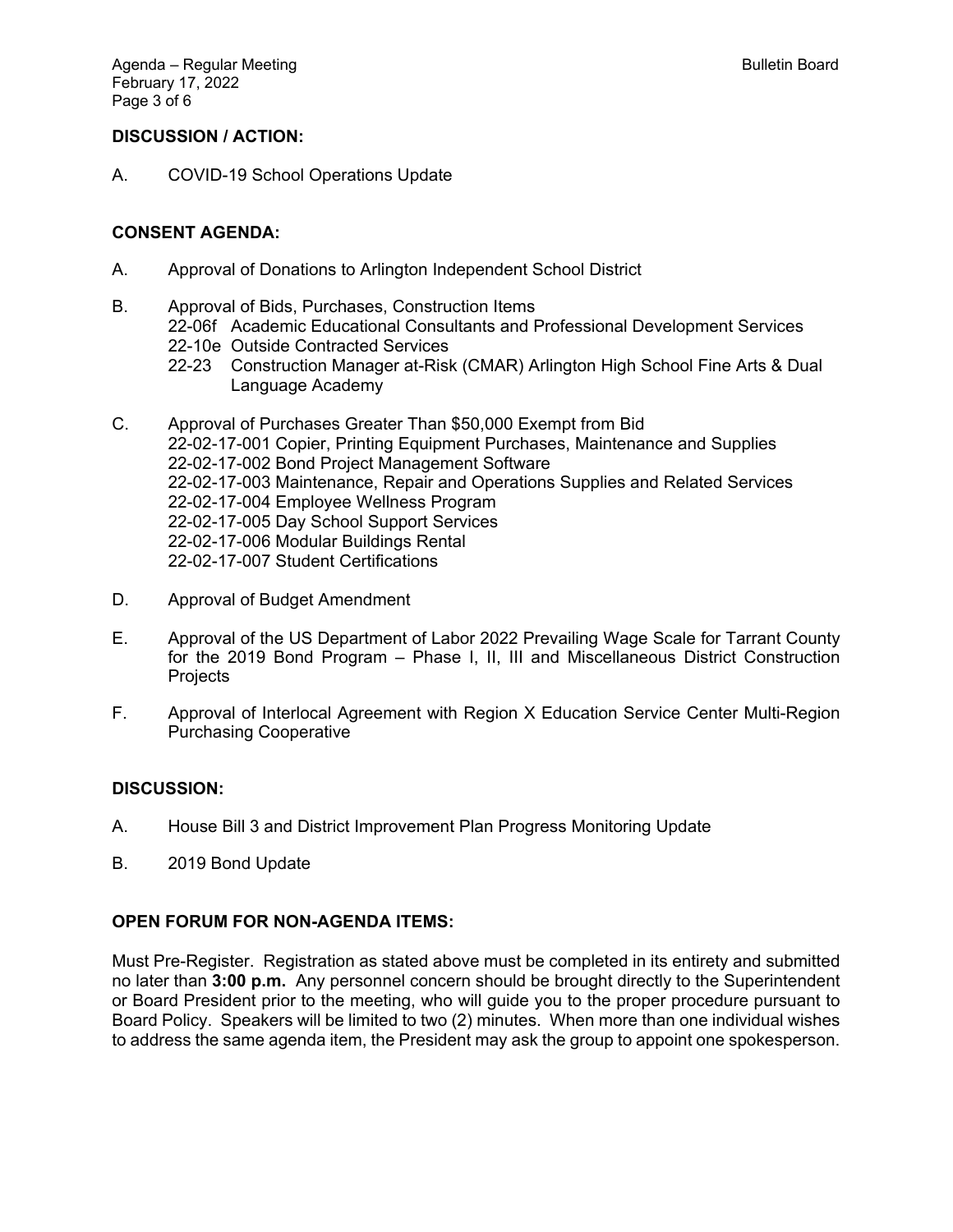# **DISCUSSION / ACTION:**

A. COVID-19 School Operations Update

## **CONSENT AGENDA:**

- A. Approval of Donations to Arlington Independent School District
- B. Approval of Bids, Purchases, Construction Items 22-06f Academic Educational Consultants and Professional Development Services 22-10e Outside Contracted Services
	- 22-23 Construction Manager at-Risk (CMAR) Arlington High School Fine Arts & Dual Language Academy
- C. Approval of Purchases Greater Than \$50,000 Exempt from Bid 22-02-17-001 Copier, Printing Equipment Purchases, Maintenance and Supplies 22-02-17-002 Bond Project Management Software 22-02-17-003 Maintenance, Repair and Operations Supplies and Related Services 22-02-17-004 Employee Wellness Program 22-02-17-005 Day School Support Services 22-02-17-006 Modular Buildings Rental 22-02-17-007 Student Certifications
- D. Approval of Budget Amendment
- E. Approval of the US Department of Labor 2022 Prevailing Wage Scale for Tarrant County for the 2019 Bond Program – Phase I, II, III and Miscellaneous District Construction **Projects**
- F. Approval of Interlocal Agreement with Region X Education Service Center Multi-Region Purchasing Cooperative

# **DISCUSSION:**

- A. House Bill 3 and District Improvement Plan Progress Monitoring Update
- B. 2019 Bond Update

# **OPEN FORUM FOR NON-AGENDA ITEMS:**

Must Pre-Register. Registration as stated above must be completed in its entirety and submitted no later than **3:00 p.m.** Any personnel concern should be brought directly to the Superintendent or Board President prior to the meeting, who will guide you to the proper procedure pursuant to Board Policy. Speakers will be limited to two (2) minutes. When more than one individual wishes to address the same agenda item, the President may ask the group to appoint one spokesperson.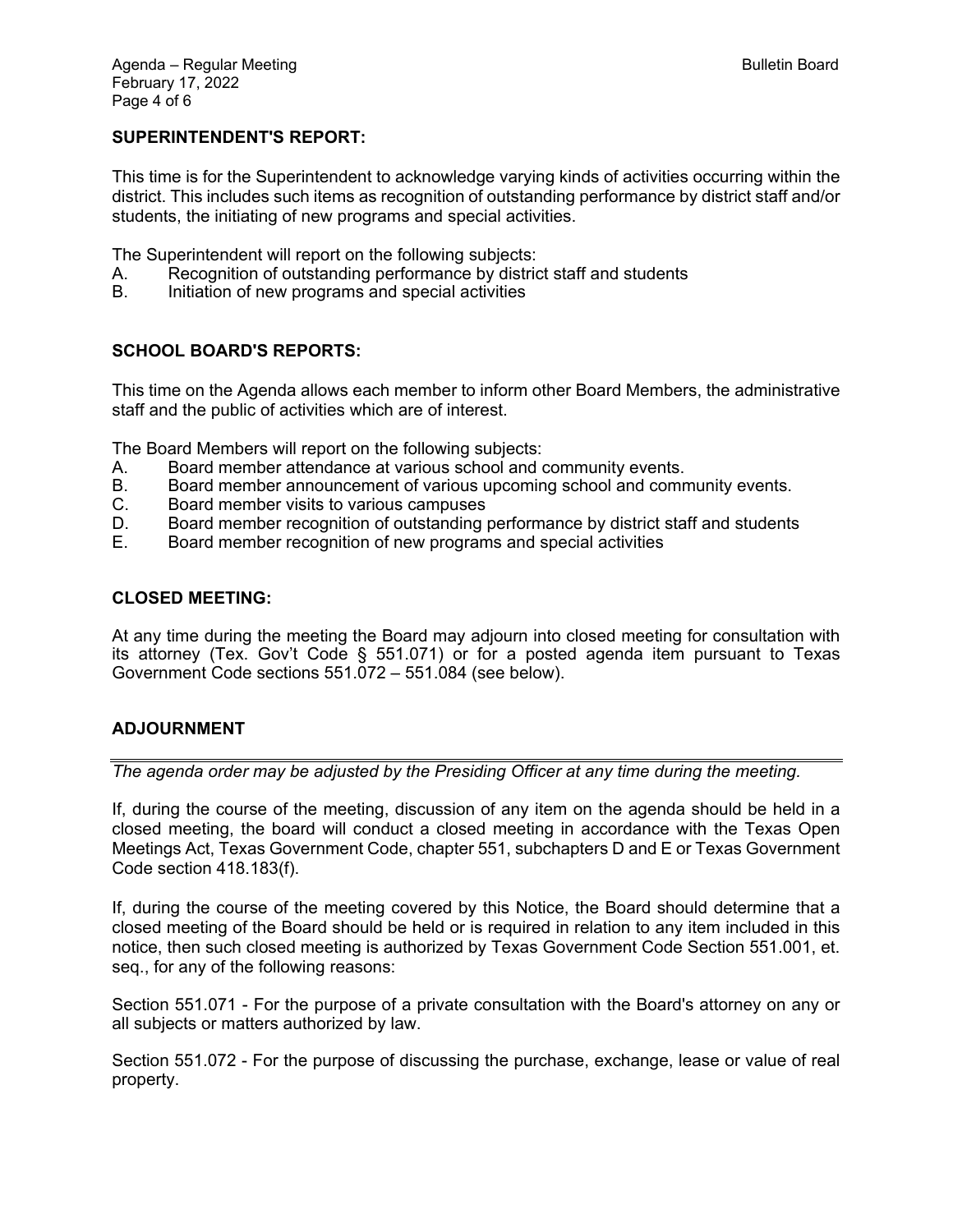## **SUPERINTENDENT'S REPORT:**

This time is for the Superintendent to acknowledge varying kinds of activities occurring within the district. This includes such items as recognition of outstanding performance by district staff and/or students, the initiating of new programs and special activities.

The Superintendent will report on the following subjects:

- A. Recognition of outstanding performance by district staff and students
- B. Initiation of new programs and special activities

## **SCHOOL BOARD'S REPORTS:**

This time on the Agenda allows each member to inform other Board Members, the administrative staff and the public of activities which are of interest.

The Board Members will report on the following subjects:

- A. Board member attendance at various school and community events.
- B. Board member announcement of various upcoming school and community events.
- C. Board member visits to various campuses
- D. Board member recognition of outstanding performance by district staff and students
- E. Board member recognition of new programs and special activities

### **CLOSED MEETING:**

At any time during the meeting the Board may adjourn into closed meeting for consultation with its attorney (Tex. Gov't Code § 551.071) or for a posted agenda item pursuant to Texas Government Code sections 551.072 – 551.084 (see below).

## **ADJOURNMENT**

*The agenda order may be adjusted by the Presiding Officer at any time during the meeting.* 

If, during the course of the meeting, discussion of any item on the agenda should be held in a closed meeting, the board will conduct a closed meeting in accordance with the Texas Open Meetings Act, Texas Government Code, chapter 551, subchapters D and E or Texas Government Code section 418.183(f).

If, during the course of the meeting covered by this Notice, the Board should determine that a closed meeting of the Board should be held or is required in relation to any item included in this notice, then such closed meeting is authorized by Texas Government Code Section 551.001, et. seq., for any of the following reasons:

Section 551.071 - For the purpose of a private consultation with the Board's attorney on any or all subjects or matters authorized by law.

Section 551.072 - For the purpose of discussing the purchase, exchange, lease or value of real property.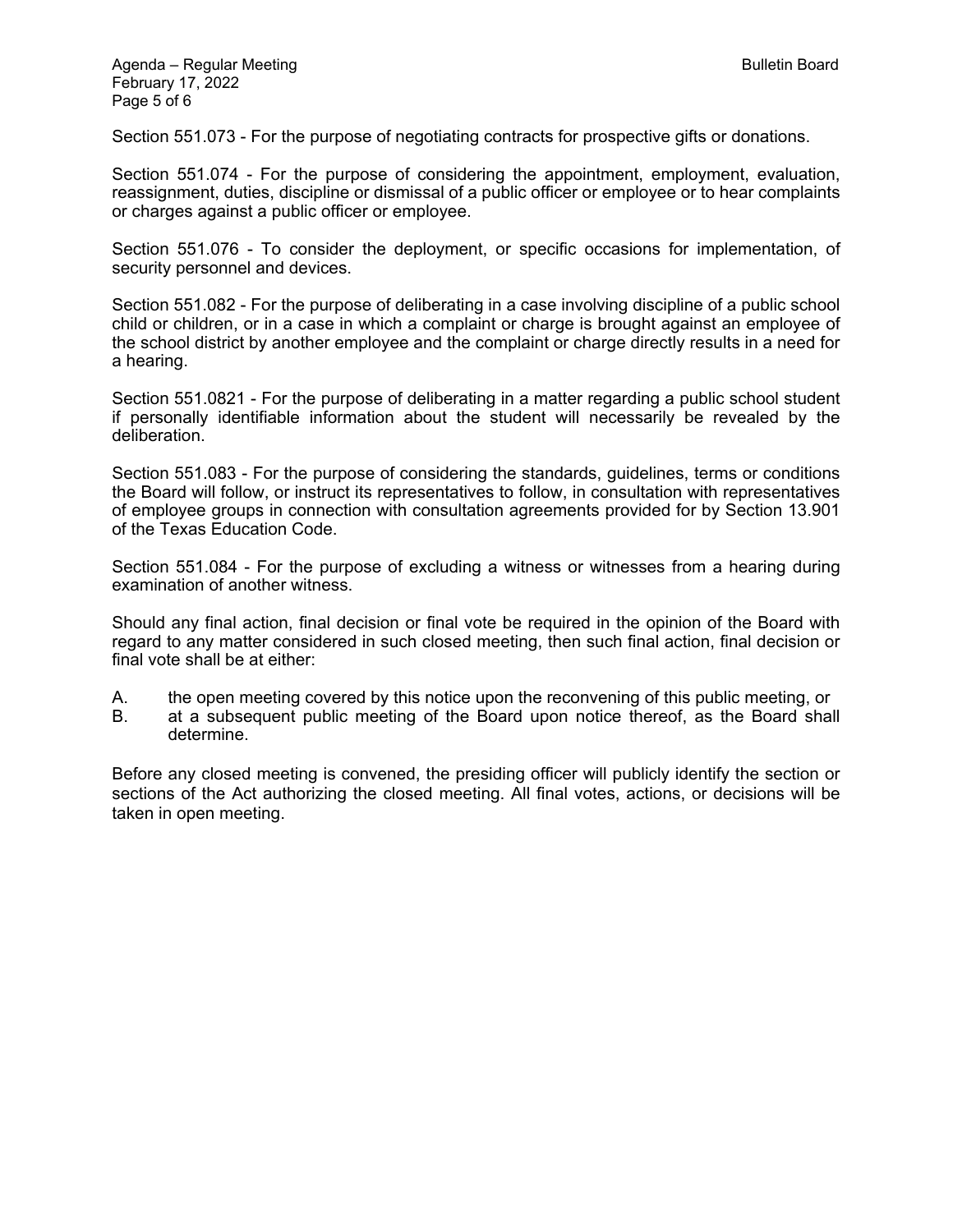Section 551.073 - For the purpose of negotiating contracts for prospective gifts or donations.

Section 551.074 - For the purpose of considering the appointment, employment, evaluation, reassignment, duties, discipline or dismissal of a public officer or employee or to hear complaints or charges against a public officer or employee.

Section 551.076 - To consider the deployment, or specific occasions for implementation, of security personnel and devices.

Section 551.082 - For the purpose of deliberating in a case involving discipline of a public school child or children, or in a case in which a complaint or charge is brought against an employee of the school district by another employee and the complaint or charge directly results in a need for a hearing.

Section 551.0821 - For the purpose of deliberating in a matter regarding a public school student if personally identifiable information about the student will necessarily be revealed by the deliberation.

Section 551.083 - For the purpose of considering the standards, guidelines, terms or conditions the Board will follow, or instruct its representatives to follow, in consultation with representatives of employee groups in connection with consultation agreements provided for by Section 13.901 of the Texas Education Code.

Section 551.084 - For the purpose of excluding a witness or witnesses from a hearing during examination of another witness.

Should any final action, final decision or final vote be required in the opinion of the Board with regard to any matter considered in such closed meeting, then such final action, final decision or final vote shall be at either:

A. the open meeting covered by this notice upon the reconvening of this public meeting, or

B. at a subsequent public meeting of the Board upon notice thereof, as the Board shall determine.

Before any closed meeting is convened, the presiding officer will publicly identify the section or sections of the Act authorizing the closed meeting. All final votes, actions, or decisions will be taken in open meeting.